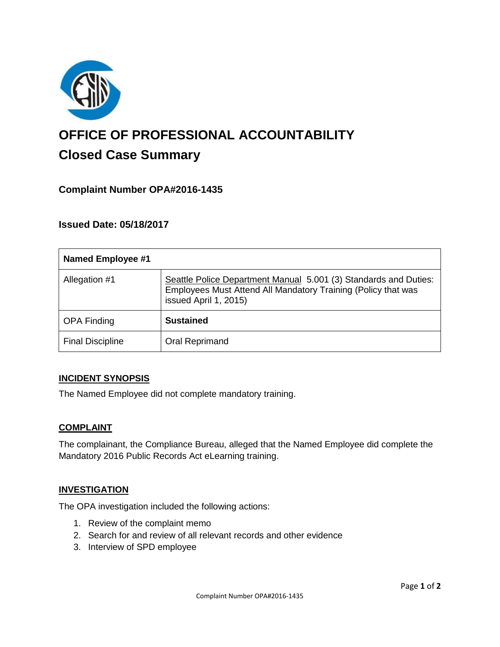

# **OFFICE OF PROFESSIONAL ACCOUNTABILITY Closed Case Summary**

# **Complaint Number OPA#2016-1435**

## **Issued Date: 05/18/2017**

| <b>Named Employee #1</b> |                                                                                                                                                            |
|--------------------------|------------------------------------------------------------------------------------------------------------------------------------------------------------|
| Allegation #1            | Seattle Police Department Manual 5.001 (3) Standards and Duties:<br>Employees Must Attend All Mandatory Training (Policy that was<br>issued April 1, 2015) |
| <b>OPA Finding</b>       | <b>Sustained</b>                                                                                                                                           |
| <b>Final Discipline</b>  | Oral Reprimand                                                                                                                                             |

#### **INCIDENT SYNOPSIS**

The Named Employee did not complete mandatory training.

#### **COMPLAINT**

The complainant, the Compliance Bureau, alleged that the Named Employee did complete the Mandatory 2016 Public Records Act eLearning training.

#### **INVESTIGATION**

The OPA investigation included the following actions:

- 1. Review of the complaint memo
- 2. Search for and review of all relevant records and other evidence
- 3. Interview of SPD employee